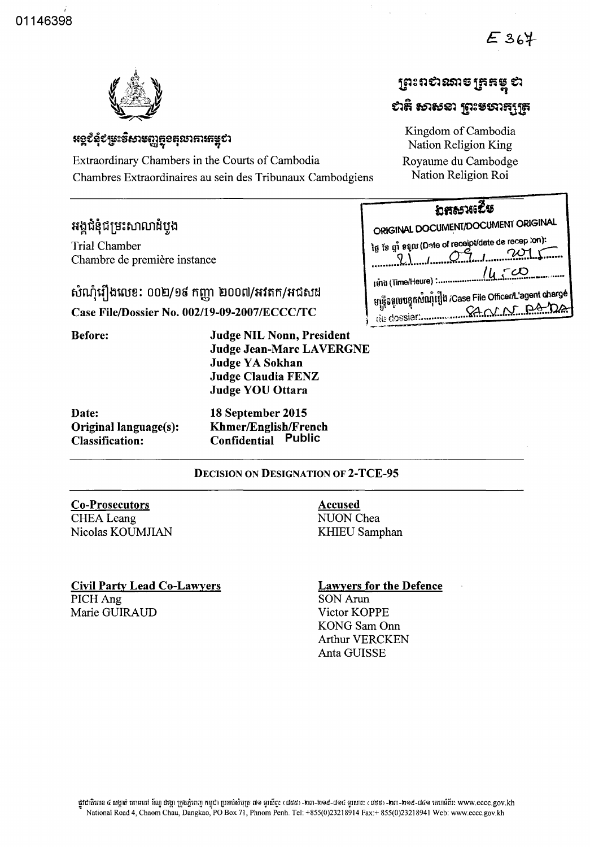$E364$ 



## **អទ្ច**៩ំនុំ៩ម្រះទិសាមញ្ញ<del>ត្ថ</del>ុខតុលាគារគម្ពុ**ខា**

Extraordinary Chambers in the Courts of Cambodia Royaume du Cambodge Chambres Extraordinaires au sein des Tribunaux Cambodgiens Nation Religion Roi

# អង្គជំនុំជម្រះសាលាដំបូង

Trial Chamber Chambre de premiere instance () \ I A--4 ••. J ........ 2Q1.C .. .•.•..•..• k •• \. .•••• ....... ~ ••• {, *(I.* r-*eX)* 

# $~$ សំណុំរឿងលេខ: 00២/១៩ កញ្ញា ២00៧/អវតក/អជសង Case File/Dossier No. 002/19-09-2007/ECCC/TC

| ព្រះពសំណាចត្រូតម្លុំ ស     |
|----------------------------|
| បាដូ សាសនា ព្រះមបារក្សត្រូ |

Kingdom of Cambodia Nation Religion King

| <b>DR&amp;S1625</b>                                                                    |  |
|----------------------------------------------------------------------------------------|--|
| ORIGINAL DOCUMENT/DOCUMENT ORIGINAL                                                    |  |
| ໄດ້ ໃສ່ ຫຼໍຳ <sub>ອີຊິ</sub> ເນ (Date of receipt/date de recep :on):<br>201            |  |
| 14.50<br>tunh (Time/Heure) :                                                           |  |
| មន្ត្រីទទួលបន្ទុកសំណុំរឿង /Case File Officer/L'agent chargé<br>SANN PAI<br>de dossier. |  |

Before:

| Judge YA Sokhan<br>Judge Claudia FENZ |
|---------------------------------------|
| <b>Judge YOU Ottara</b>               |
| 18 September 2015                     |

| Date:                  | 18 September 2015           |
|------------------------|-----------------------------|
| Original language(s):  | <b>Khmer/English/French</b> |
| <b>Classification:</b> | <b>Confidential Public</b>  |

### DECISION ON DESIGNATION OF 2-TCE-95

Judge NIL Nonn, President

Judge Jean-Marc LAVERGNE

## Co-Prosecutors CHEA Leang

Nicolas KOUMJIAN

Accused NUON Chea KHIEU Samphan

#### Civil Party Lead Co-Lawyers PICHAng Marie GUIRAUD Victor KOPPE

## Lawyers for the Defence

SON Arun KONG Sam Onn Arthur VERCKEN Anta GUISSE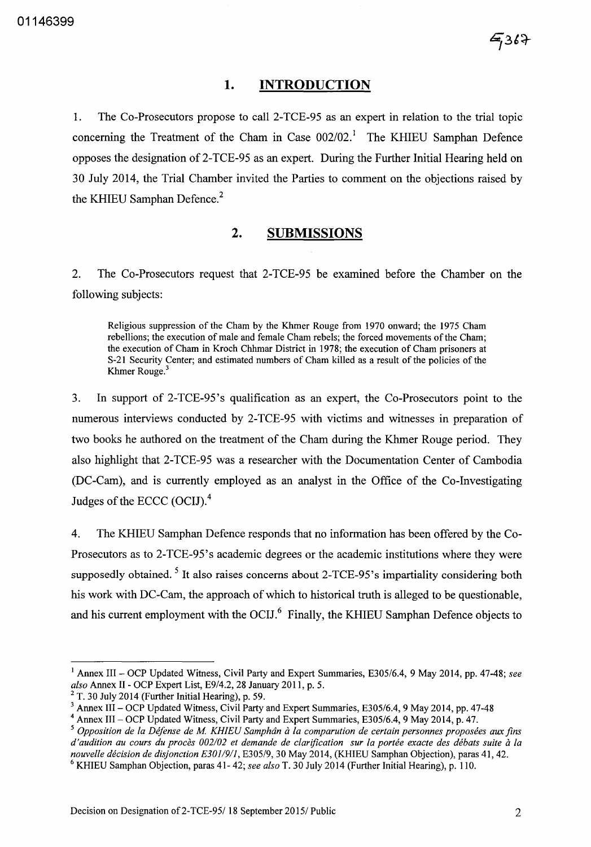### **1. INTRODUCTION**

1. The Co-Prosecutors propose to call 2-TCE-95 as an expert in relation to the trial topic concerning the Treatment of the Cham in Case  $002/02$ .<sup>1</sup> The KHIEU Samphan Defence opposes the designation of 2-TCE-95 as an expert. During the Further Initial Hearing held on 30 July 2014, the Trial Chamber invited the Parties to comment on the objections raised by the KHIEU Samphan Defence.<sup>2</sup>

### **2. SUBMISSIONS**

2. The Co-Prosecutors request that 2-TCE-95 be examined before the Chamber on the following subjects:

Religious suppression of the Cham by the Khmer Rouge from 1970 onward; the 1975 Cham rebellions; the execution of male and female Cham rebels; the forced movements of the Cham; the execution of Cham in Kroch Chhmar District in 1978; the execution of Cham prisoners at S-21 Security Center; and estimated numbers of Cham killed as a result of the policies of the Khmer Rouge. <sup>3</sup>

3. In support of 2-TCE-95's qualification as an expert, the Co-Prosecutors point to the numerous interviews conducted by 2-TCE-95 with victims and witnesses in preparation of two books he authored on the treatment of the Cham during the Khmer Rouge period. They also highlight that 2-TCE-95 was a researcher with the Documentation Center of Cambodia (DC-Cam), and is currently employed as an analyst in the Office of the Co-Investigating Judges of the ECCC (OCIJ).4

4. The KHIEU Samphan Defence responds that no information has been offered by the Co-Prosecutors as to 2-TCE-95's academic degrees or the academic institutions where they were supposedly obtained.<sup>5</sup> It also raises concerns about 2-TCE-95's impartiality considering both his work with DC-Cam, the approach of which to historical truth is alleged to be questionable, and his current employment with the OCIJ.<sup>6</sup> Finally, the KHIEU Samphan Defence objects to

<sup>&</sup>lt;sup>1</sup> Annex III – OCP Updated Witness, Civil Party and Expert Summaries, E305/6.4, 9 May 2014, pp. 47-48; see *also* Annex II - OCP Expert List, *E9/4.2,* 28 January 2011, p. 5.

 $2$  T. 30 July 2014 (Further Initial Hearing), p. 59.

<sup>3</sup> Annex III - OCP Updated Witness, Civil Party and Expert Summaries, *E305/6.4,* 9 May 2014, pp. 47-48

<sup>4</sup> Annex III - OCP Updated Witness, Civil Party and Expert Summaries, *E305/6.4,* 9 May 2014, p. 47.

*<sup>5</sup> Opposition de la Defense de M KH1EU Samphdn a fa comparution de certain personnes proposees aux fins d'audition au cours du proces 002102 et demande de clarification sur la portee exacte des debats suite a la nouvelle decision de disjonction E3011911, E305/9,* 30 May 2014, (KHIEU Samphan Objection), paras 41, 42.

<sup>6</sup> KHIEU Samphan Objection, paras 41- 42; *see also* T. 30 July 2014 (Further Initial Hearing), p. 110.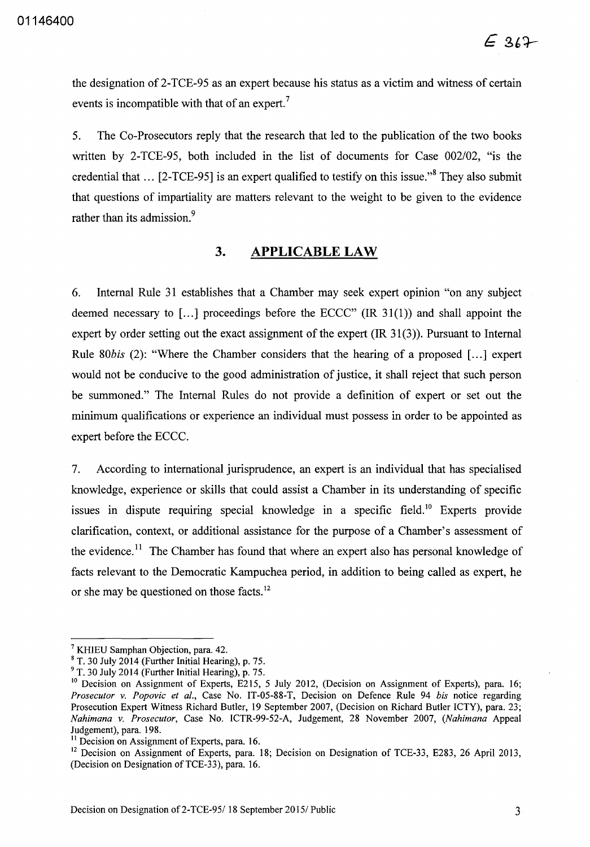the designation of 2-TCE-95 as an expert because his status as a victim and witness of certain events is incompatible with that of an expert.<sup>7</sup>

5. The Co-Prosecutors reply that the research that led to the publication of the two books written by 2-TCE-95, both included in the list of documents for Case *002/02,* "is the credential that  $\ldots$  [2-TCE-95] is an expert qualified to testify on this issue."<sup>8</sup> They also submit that questions of impartiality are matters relevant to the weight to be given to the evidence rather than its admission.<sup>9</sup>

## **3. APPLICABLE LAW**

6. Internal Rule 31 establishes that a Chamber may seek expert opinion "on any subject deemed necessary to [ $\dots$ ] proceedings before the ECCC" (IR 31(1)) and shall appoint the expert by order setting out the exact assignment of the expert  $(IR 31(3))$ . Pursuant to Internal Rule 80bis (2): "Where the Chamber considers that the hearing of a proposed [...] expert would not be conducive to the good administration of justice, it shall reject that such person be summoned." The Internal Rules do not provide a definition of expert or set out the minimum qualifications or experience an individual must possess in order to be appointed as expert before the ECCC.

7. According to international jurisprudence, an expert is an individual that has specialised knowledge, experience or skills that could assist a Chamber in its understanding of specific issues in dispute requiring special knowledge in a specific field.<sup>10</sup> Experts provide clarification, context, or additional assistance for the purpose of a Chamber's assessment of the evidence.<sup>11</sup> The Chamber has found that where an expert also has personal knowledge of facts relevant to the Democratic Kampuchea period, in addition to being called as expert, he or she may be questioned on those facts. 12

<sup>7</sup> KHIEU Samphan Objection, para. 42.

<sup>8</sup> T. 30 July 2014 (Further Initial Hearing), p. 75.

<sup>9</sup> T. 30 July 2014 (Further Initial Hearing), p. 75.

<sup>&</sup>lt;sup>10</sup> Decision on Assignment of Experts, E215, 5 July 2012, (Decision on Assignment of Experts), para. 16; *Prosecutor* v. *Popovic et al.,* Case No. IT-05-88-T, Decision on Defence Rule 94 *his* notice regarding Prosecution Expert Witness Richard Butler, 19 September 2007, (Decision on Richard Butler ICTY), para. 23; *Nahimana* v. *Prosecutor,* Case No. ICTR-99-52-A, Judgement, 28 November 2007, *(Nahimana* Appeal Judgement), para. 198.

<sup>&</sup>lt;sup>11</sup> Decision on Assignment of Experts, para. 16.

<sup>&</sup>lt;sup>12</sup> Decision on Assignment of Experts, para. 18; Decision on Designation of TCE-33, E283, 26 April 2013, (Decision on Designation of TCE-33), para. 16.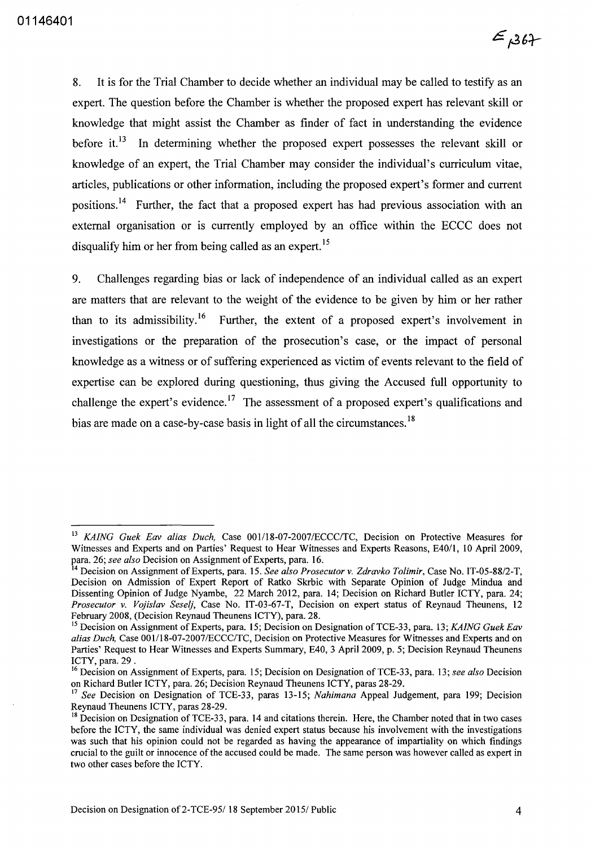8. It is for the Trial Chamber to decide whether an individual may be called to testify as an expert. The question before the Chamber is whether the proposed expert has relevant skill or knowledge that might assist the Chamber as finder of fact in understanding the evidence before it.<sup>13</sup> In determining whether the proposed expert possesses the relevant skill or knowledge of an expert, the Trial Chamber may consider the individual's curriculum vitae, articles, publications or other information, including the proposed expert's former and current positions. 14 Further, the fact that a proposed expert has had previous association with an external organisation or is currently employed by an office within the ECCC does not disqualify him or her from being called as an expert.<sup>15</sup>

9. Challenges regarding bias or lack of independence of an individual called as an expert are matters that are relevant to the weight of the evidence to be given by him or her rather than to its admissibility.<sup>16</sup> Further, the extent of a proposed expert's involvement in investigations or the preparation of the prosecution's case, or the impact of personal knowledge as a witness or of suffering experienced as victim of events relevant to the field of expertise can be explored during questioning, thus giving the Accused full opportunity to challenge the expert's evidence.<sup>17</sup> The assessment of a proposed expert's qualifications and bias are made on a case-by-case basis in light of all the circumstances.<sup>18</sup>

<sup>&</sup>lt;sup>13</sup> *KAING Guek Eav alias Duch*, Case 001/18-07-2007/ECCC/TC, Decision on Protective Measures for Witnesses and Experts and on Parties' Request to Hear Witnesses and Experts Reasons, E40/1, 10 April 2009, para. 26; *see also* Decision on Assignment of Experts, para. 16.

<sup>14</sup> Decision on Assignment of Experts, para. 15. *See also Prosecutor* v. *Zdravko Tolimir,* Case No. IT-05-88/2-T, Decision on Admission of Expert Report of Ratko Skrbic with Separate Opinion of Judge Mindua and Dissenting Opinion of Judge Nyambe, 22 March 2012, para. 14; Decision on Richard Butler ICTY, para. 24; *Prosecutor* v. *Vojislav Seselj,* Case No. IT-03-67-T, Decision on expert status of Reynaud Theunens, 12 February 2008, (Decision Reynaud Theunens ICTY), para. 28.

<sup>15</sup> Decision on Assignment of Experts, para. 15; Decision on Designation ofTCE-33, para. 13; *KAING Guek Eav alias Duch,* Case *001l18-07-2007IECCC/TC,* Decision on Protective Measures for Witnesses and Experts and on Parties' Request to Hear Witnesses and Experts Summary, E40, 3 April 2009, p. 5; Decision Reynaud Theunens ICTY, para. 29 .

<sup>16</sup> Decision on Assignment of Experts, para. 15; Decision on Designation of TCE-33, para. 13; *see also* Decision on Richard Butler ICTY, para. 26; Decision Reynaud Theunens ICTY, paras 28-29.

<sup>17</sup>*See* Decision on Designation of TCE-33, paras 13-15; *Nahimana* Appeal Judgement, para 199; Decision Reynaud Theunens ICTY, paras 28-29.

<sup>&</sup>lt;sup>18</sup> Decision on Designation of TCE-33, para. 14 and citations therein. Here, the Chamber noted that in two cases before the ICTY, the same individual was denied expert status because his involvement with the investigations was such that his opinion could not be regarded as having the appearance of impartiality on which findings crucial to the guilt or innocence of the accused could be made. The same person was however called as expert in two other cases before the ICTY.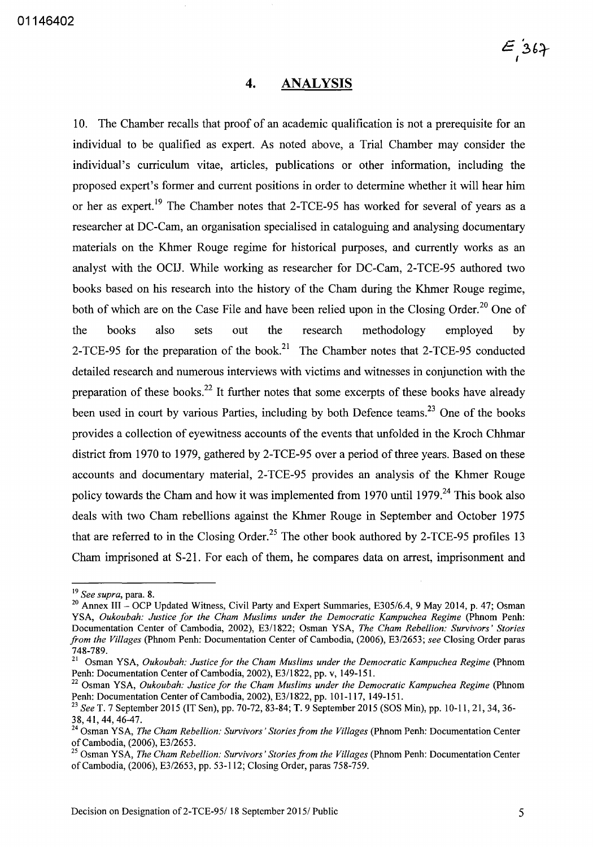#### **4. ANALYSIS**

10. The Chamber recalls that proof of an academic qualification is not a prerequisite for an individual to be qualified as expert. As noted above, a Trial Chamber may consider the individual's curriculum vitae, articles, publications or other information, including the proposed expert's former and current positions in order to determine whether it will hear him or her as expert.<sup>19</sup> The Chamber notes that 2-TCE-95 has worked for several of years as a researcher at DC-Cam, an organisation specialised in cataloguing and analysing documentary materials on the Khmer Rouge regime for historical purposes, and currently works as an analyst with the OCIl. While working as researcher for DC-Cam, 2-TCE-95 authored two books based on his research into the history of the Cham during the Khmer Rouge regime, both of which are on the Case File and have been relied upon in the Closing Order.<sup>20</sup> One of the books also sets out the research methodology employed by 2-TCE-95 for the preparation of the book.<sup>21</sup> The Chamber notes that 2-TCE-95 conducted detailed research and numerous interviews with victims and witnesses in conjunction with the preparation of these books.<sup>22</sup> It further notes that some excerpts of these books have already been used in court by various Parties, including by both Defence teams.<sup>23</sup> One of the books provides a collection of eyewitness accounts of the events that unfolded in the Kroch Chhmar district from 1970 to 1979, gathered by 2-TCE-95 over a period of three years. Based on these accounts and documentary material, 2-TCE-95 provides an analysis of the Khmer Rouge policy towards the Cham and how it was implemented from 1970 until 1979.<sup>24</sup> This book also deals with two Cham rebellions against the Khmer Rouge in September and October 1975 that are referred to in the Closing Order.<sup>25</sup> The other book authored by 2-TCE-95 profiles 13 Cham imprisoned at S-21. For each of them, he compares data on arrest, imprisonment and

<sup>19</sup>*See supra,* para. 8.

<sup>20</sup> Annex III - OCP Updated Witness, Civil Party and Expert Summaries, *E305/6.4,* 9 May 2014, p. 47; Osman YSA, *Oukoubah: Justice for the Cham Muslims under the Democratic Kampuchea Regime* (Phnom Penh: Documentation Center of Cambodia, 2002), *E3/1822;* Osman YSA, *The Cham Rebellion: Survivors' Stories from the Villages* (Phnom Penh: Documentation Center of Cambodia, (2006), *E3/2653; see* Closing Order paras 748-789.

<sup>&</sup>lt;sup>21</sup> Osman YSA, *Oukoubah: Justice for the Cham Muslims under the Democratic Kampuchea Regime* (Phnom Penh: Documentation Center of Cambodia, 2002), E3/l822, pp. v, 149-151.

<sup>&</sup>lt;sup>22</sup> Osman YSA, *Oukoubah: Justice for the Cham Muslims under the Democratic Kampuchea Regime* (Phnom Penh: Documentation Center of Cambodia, 2002), *E3/1822,* pp. 101-117, 149-151.

*<sup>23</sup> See* T. 7 September 2015 (IT Sen), pp. 70-72, 83-84; T. 9 September 2015 (SOS Min), pp. 10-11,21,34,36- 38,41,44,46-47.

<sup>&</sup>lt;sup>24</sup> Osman YSA, *The Cham Rebellion: Survivors' Stories from the Villages* (Phnom Penh: Documentation Center of Cambodia, (2006), *E3/2653.* 

<sup>25</sup> Osman YSA, *The Cham Rebellion: Survivors' Stories from the Villages* (Phnom Penh: Documentation Center of Cambodia, (2006), *E3/2653,* pp. 53-112; Closing Order, paras 758-759.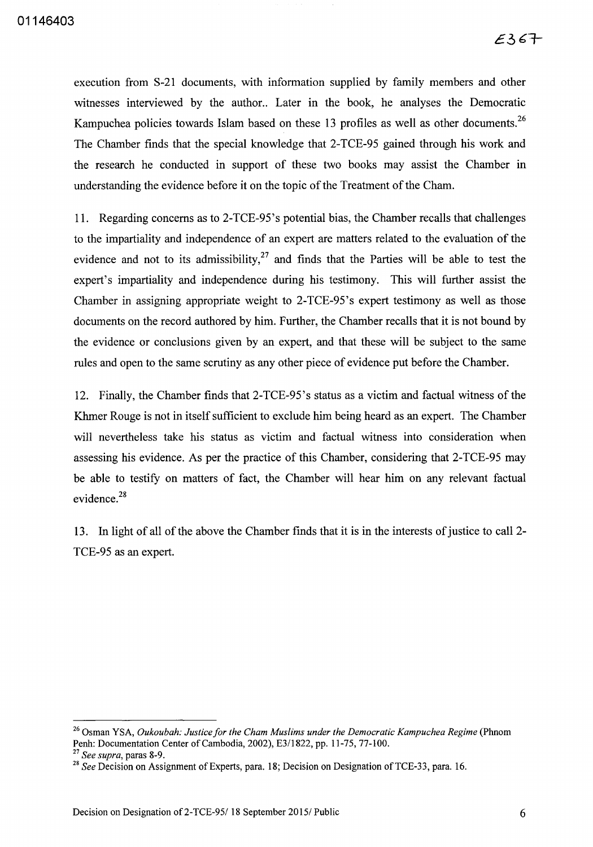execution from S-21 documents, with information supplied by family members and other witnesses interviewed by the author.. Later in the book, he analyses the Democratic Kampuchea policies towards Islam based on these 13 profiles as well as other documents.<sup>26</sup> The Chamber fmds that the special knowledge that 2-TCE-95 gained through his work and the research he conducted in support of these two books may assist the Chamber in understanding the evidence before it on the topic of the Treatment of the Cham.

11. Regarding concerns as to 2-TCE-95's potential bias, the Chamber recalls that challenges to the impartiality and independence of an expert are matters related to the evaluation of the evidence and not to its admissibility, $27$  and finds that the Parties will be able to test the expert's impartiality and independence during his testimony. This will further assist the Chamber in assigning appropriate weight to 2-TCE-95's expert testimony as well as those documents on the record authored by him. Further, the Chamber recalls that it is not bound by the evidence or conclusions given by an expert, and that these will be subject to the same rules and open to the same scrutiny as any other piece of evidence put before the Chamber.

12. Finally, the Chamber finds that 2-TCE-95's status as a victim and factual witness of the Khmer Rouge is not in itself sufficient to exclude him being heard as an expert. The Chamber will nevertheless take his status as victim and factual witness into consideration when assessing his evidence. As per the practice of this Chamber, considering that 2-TCE-95 may be able to testify on matters of fact, the Chamber will hear him on any relevant factual evidence.<sup>28</sup>

13. In light of all of the above the Chamber fmds that it is in the interests of justice to call 2- TCE-95 as an expert.

<sup>&</sup>lt;sup>26</sup> Osman YSA, *Oukoubah: Justice for the Cham Muslims under the Democratic Kampuchea Regime* (Phnom Penh: Documentation Center of Cambodia, 2002), E311822, pp. 11-75, 77-100.

*<sup>27</sup> See supra,* paras 8-9.

<sup>&</sup>lt;sup>28</sup> See Decision on Assignment of Experts, para. 18; Decision on Designation of TCE-33, para. 16.